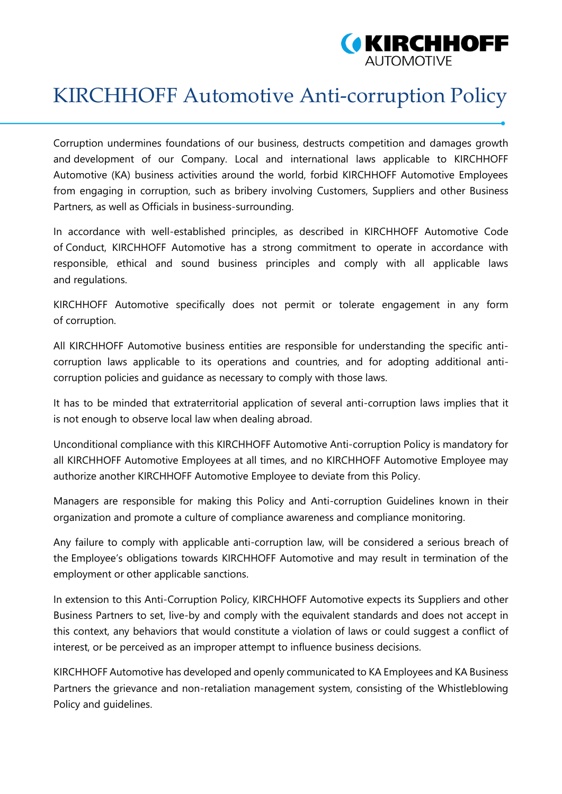

## KIRCHHOFF Automotive Anti-corruption Policy

Corruption undermines foundations of our business, destructs competition and damages growth and development of our Company. Local and international laws applicable to KIRCHHOFF Automotive (KA) business activities around the world, forbid KIRCHHOFF Automotive Employees from engaging in corruption, such as bribery involving Customers, Suppliers and other Business Partners, as well as Officials in business-surrounding.

In accordance with well-established principles, as described in KIRCHHOFF Automotive Code of Conduct, KIRCHHOFF Automotive has a strong commitment to operate in accordance with responsible, ethical and sound business principles and comply with all applicable laws and regulations.

KIRCHHOFF Automotive specifically does not permit or tolerate engagement in any form of corruption.

All KIRCHHOFF Automotive business entities are responsible for understanding the specific anticorruption laws applicable to its operations and countries, and for adopting additional anticorruption policies and guidance as necessary to comply with those laws.

It has to be minded that extraterritorial application of several anti-corruption laws implies that it is not enough to observe local law when dealing abroad.

Unconditional compliance with this KIRCHHOFF Automotive Anti-corruption Policy is mandatory for all KIRCHHOFF Automotive Employees at all times, and no KIRCHHOFF Automotive Employee may authorize another KIRCHHOFF Automotive Employee to deviate from this Policy.

Managers are responsible for making this Policy and Anti-corruption Guidelines known in their organization and promote a culture of compliance awareness and compliance monitoring.

Any failure to comply with applicable anti-corruption law, will be considered a serious breach of the Employee's obligations towards KIRCHHOFF Automotive and may result in termination of the employment or other applicable sanctions.

In extension to this Anti-Corruption Policy, KIRCHHOFF Automotive expects its Suppliers and other Business Partners to set, live-by and comply with the equivalent standards and does not accept in this context, any behaviors that would constitute a violation of laws or could suggest a conflict of interest, or be perceived as an improper attempt to influence business decisions.

KIRCHHOFF Automotive has developed and openly communicated to KA Employees and KA Business Partners the grievance and non-retaliation management system, consisting of the Whistleblowing Policy and guidelines.